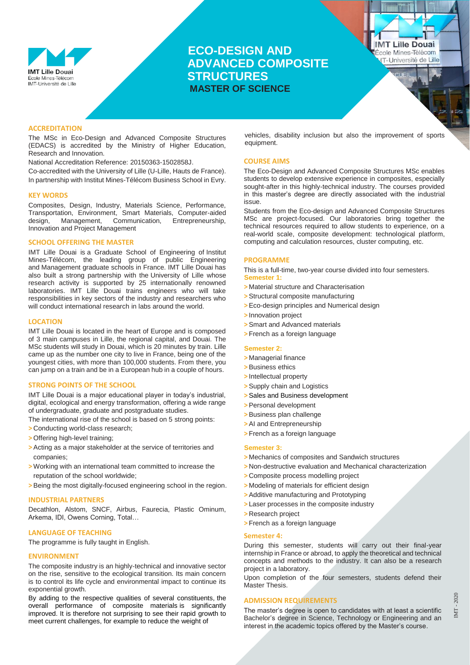

# **ECO-DESIGN AND ADVANCED COMPOSITE STRUCTURES MASTER OF SCIENCE**

**IMT Lille Douai** École Mines-Télécom **IT-Université de Lille** 

### **ACCREDITATION**

The MSc in Eco-Design and Advanced Composite Structures (EDACS) is accredited by the Ministry of Higher Education, Research and Innovation.

National Accreditation Reference: 20150363-1502858J.

Co-accredited with the University of Lille (U-Lille, Hauts de France). In partnership with Institut Mines-Télécom Business School in Evry.

### **KEY WORDS**

Composites, Design, Industry, Materials Science, Performance, Transportation, Environment, Smart Materials, Computer-aided design, Management, Communication, Entrepreneurship, Innovation and Project Management

### **SCHOOL OFFERING THE MASTER**

IMT Lille Douai is a Graduate School of Engineering of [Institut](https://www.imt.fr/en/)  [Mines-Télécom,](https://www.imt.fr/en/) the leading group of public Engineering and Management graduate schools in France. IMT Lille Douai has also built a strong partnership with the [University of Lille](https://www.univ-lille.fr/home/) whose research activity is supported by 25 internationally renowned laboratories. IMT Lille Douai trains engineers who will take responsibilities in key sectors of the industry and researchers who will conduct international research in labs around the world.

### **LOCATION**

IMT Lille Douai is located in the heart of Europe and is composed of 3 main campuses in Lille, the regional capital, and Douai. The MSc students will study in Douai, which is 20 minutes by train. Lille came up as the number one city to live in France, being one of the youngest cities, with more than 100,000 students. From there, you can jump on a train and be in a European hub in a couple of hours.

### **STRONG POINTS OF THE SCHOOL**

IMT Lille Douai is a major educational player in today's industrial, digital, ecological and energy transformation, offering a wide range of undergraduate, graduate and postgraduate studies.

The international rise of the school is based on 5 strong points:

- **>** Conducting world-class research;
- **>** Offering high-level training;
- **>**Acting as a major stakeholder at the service of territories and companies;
- **>** Working with an international team committed to increase the reputation of the school worldwide;
- **>**Being the most digitally-focused engineering school in the region.

### **INDUSTRIAL PARTNERS**

Decathlon, Alstom, SNCF, Airbus, Faurecia, Plastic Ominum, Arkema, IDI, Owens Corning, Total…

# **LANGUAGE OF TEACHING**

The programme is fully taught in English.

### **ENVIRONMENT**

The composite industry is an highly-technical and innovative sector on the rise, sensitive to the ecological transition. Its main concern is to control its life cycle and environmental impact to continue its exponential growth.

By adding to the respective qualities of several constituents, the overall performance of composite materials is significantly improved. It is therefore not surprising to see their rapid growth to meet current challenges, for example to reduce the weight of

vehicles, disability inclusion but also the improvement of sports equipment.

### **COURSE AIMS**

The Eco-Design and Advanced Composite Structures MSc enables students to develop extensive experience in composites, especially sought-after in this highly-technical industry. The courses provided in this master's degree are directly associated with the industrial issue.

Students from the Eco-design and Advanced Composite Structures MSc are project-focused. Our laboratories bring together the technical resources required to allow students to experience, on a real-world scale, composite development: technological platform, computing and calculation resources, cluster computing, etc.

### **PROGRAMME**

This is a full-time, two-year course divided into four semesters. **Semester 1:**

- **>** Material structure and Characterisation
- **>**Structural composite manufacturing
- **>**Eco-design principles and Numerical design
- **>** Innovation project
- **>**Smart and Advanced materials
- **>** French as a foreign language

### **Semester 2:**

- **>** Managerial finance
- **>**Business ethics
- **>** Intellectual property
- **>**Supply chain and Logistics
- **>**Sales and Business development
- **>**Personal development
- **>**Business plan challenge
- **>**AI and Entrepreneurship
- **>** French as a foreign language

### **Semester 3:**

- **>** Mechanics of composites and Sandwich structures
- **>** Non-destructive evaluation and Mechanical characterization
- **>** Composite process modelling project
- **>** Modeling of materials for efficient design
- **>**Additive manufacturing and Prototyping
- **>** Laser processes in the composite industry
- **>** Research project
- **>** French as a foreign language

#### **Semester 4:**

During this semester, students will carry out their final-year internship in France or abroad, to apply the theoretical and technical concepts and methods to the industry. It can also be a research project in a laboratory.

Upon completion of the four semesters, students defend their Master Thesis.

### **ADMISSION REQUIREMENTS**

The master's degree is open to candidates with at least a scientific Bachelor's degree in Science, Technology or Engineering and an interest in the academic topics offered by the Master's course.